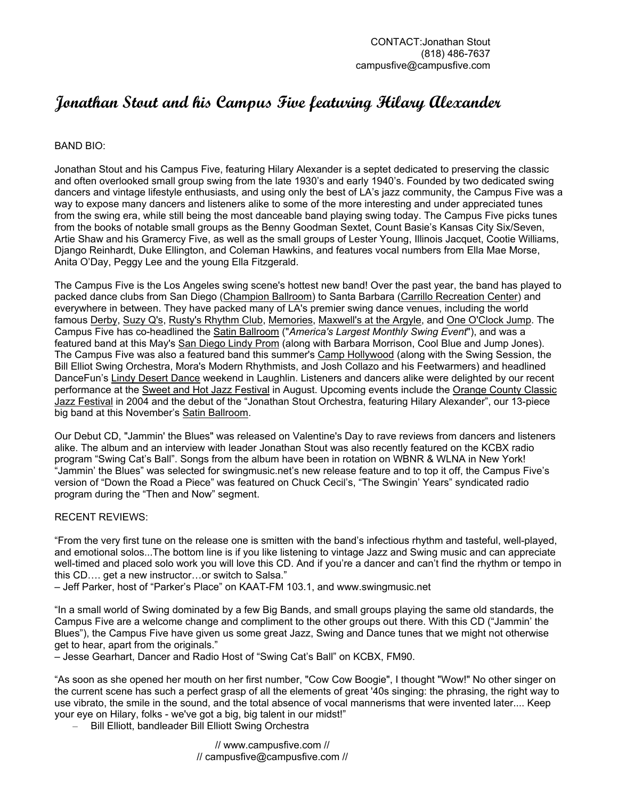# **Jonathan Stout and his Campus Five featuring Hilary Alexander**

### BAND BIO:

Jonathan Stout and his Campus Five, featuring Hilary Alexander is a septet dedicated to preserving the classic and often overlooked small group swing from the late 1930's and early 1940's. Founded by two dedicated swing dancers and vintage lifestyle enthusiasts, and using only the best of LA's jazz community, the Campus Five was a way to expose many dancers and listeners alike to some of the more interesting and under appreciated tunes from the swing era, while still being the most danceable band playing swing today. The Campus Five picks tunes from the books of notable small groups as the Benny Goodman Sextet, Count Basie's Kansas City Six/Seven, Artie Shaw and his Gramercy Five, as well as the small groups of Lester Young, Illinois Jacquet, Cootie Williams, Django Reinhardt, Duke Ellington, and Coleman Hawkins, and features vocal numbers from Ella Mae Morse, Anita O'Day, Peggy Lee and the young Ella Fitzgerald.

The Campus Five is the Los Angeles swing scene's hottest new band! Over the past year, the band has played to packed dance clubs from San Diego (Champion Ballroom) to Santa Barbara (Carrillo Recreation Center) and everywhere in between. They have packed many of LA's premier swing dance venues, including the world famous Derby, Suzy Q's, Rusty's Rhythm Club, Memories, Maxwell's at the Argyle, and One O'Clock Jump. The Campus Five has co-headlined the Satin Ballroom ("*America's Largest Monthly Swing Event*"), and was a featured band at this May's San Diego Lindy Prom (along with Barbara Morrison, Cool Blue and Jump Jones). The Campus Five was also a featured band this summer's Camp Hollywood (along with the Swing Session, the Bill Elliot Swing Orchestra, Mora's Modern Rhythmists, and Josh Collazo and his Feetwarmers) and headlined DanceFun's Lindy Desert Dance weekend in Laughlin. Listeners and dancers alike were delighted by our recent performance at the Sweet and Hot Jazz Festival in August. Upcoming events include the Orange County Classic Jazz Festival in 2004 and the debut of the "Jonathan Stout Orchestra, featuring Hilary Alexander", our 13-piece big band at this November's Satin Ballroom.

Our Debut CD, "Jammin' the Blues" was released on Valentine's Day to rave reviews from dancers and listeners alike. The album and an interview with leader Jonathan Stout was also recently featured on the KCBX radio program "Swing Cat's Ball". Songs from the album have been in rotation on WBNR & WLNA in New York! "Jammin' the Blues" was selected for swingmusic.net's new release feature and to top it off, the Campus Five's version of "Down the Road a Piece" was featured on Chuck Cecil's, "The Swingin' Years" syndicated radio program during the "Then and Now" segment.

### RECENT REVIEWS:

"From the very first tune on the release one is smitten with the band's infectious rhythm and tasteful, well-played, and emotional solos...The bottom line is if you like listening to vintage Jazz and Swing music and can appreciate well-timed and placed solo work you will love this CD. And if you're a dancer and can't find the rhythm or tempo in this CD…. get a new instructor…or switch to Salsa."

– Jeff Parker, host of "Parker's Place" on KAAT-FM 103.1, and www.swingmusic.net

"In a small world of Swing dominated by a few Big Bands, and small groups playing the same old standards, the Campus Five are a welcome change and compliment to the other groups out there. With this CD ("Jammin' the Blues"), the Campus Five have given us some great Jazz, Swing and Dance tunes that we might not otherwise get to hear, apart from the originals."

– Jesse Gearhart, Dancer and Radio Host of "Swing Cat's Ball" on KCBX, FM90.

"As soon as she opened her mouth on her first number, "Cow Cow Boogie", I thought "Wow!" No other singer on the current scene has such a perfect grasp of all the elements of great '40s singing: the phrasing, the right way to use vibrato, the smile in the sound, and the total absence of vocal mannerisms that were invented later.... Keep your eye on Hilary, folks - we've got a big, big talent in our midst!"

– Bill Elliott, bandleader Bill Elliott Swing Orchestra

// www.campusfive.com // // campusfive@campusfive.com //